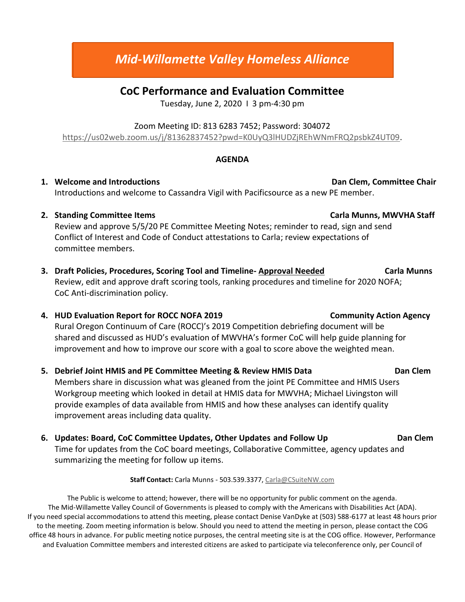# *Mid-Willamette Valley Homeless Alliance*

## **CoC Performance and Evaluation Committee**

Tuesday, June 2, 2020 I 3 pm-4:30 pm

### Zoom Meeting ID: 813 6283 7452; Password: 304072

[https://us02web.zoom.us/j/81362837452?pwd=K0UyQ3lHUDZjREhWNmFRQ2psbkZ4UT09.](https://us02web.zoom.us/j/81362837452?pwd=K0UyQ3lHUDZjREhWNmFRQ2psbkZ4UT09)

### **AGENDA**

**1.** Welcome and Introductions **Dan Clem, Committee Chair Dan Clem, Committee Chair** Introductions and welcome to Cassandra Vigil with Pacificsource as a new PE member.

### **2. Standing Committee Items Carla Munns, MWVHA Staff**

Review and approve 5/5/20 PE Committee Meeting Notes; reminder to read, sign and send Conflict of Interest and Code of Conduct attestations to Carla; review expectations of committee members.

**3. Draft Policies, Procedures, Scoring Tool and Timeline- Approval Needed Carla Munns**  Review, edit and approve draft scoring tools, ranking procedures and timeline for 2020 NOFA; CoC Anti-discrimination policy.

### **4. HUD Evaluation Report for ROCC NOFA 2019 Community Action Agency**

Rural Oregon Continuum of Care (ROCC)'s 2019 Competition debriefing document will be shared and discussed as HUD's evaluation of MWVHA's former CoC will help guide planning for improvement and how to improve our score with a goal to score above the weighted mean.

### **5. Debrief Joint HMIS and PE Committee Meeting & Review HMIS Data Dan Clem**

Members share in discussion what was gleaned from the joint PE Committee and HMIS Users Workgroup meeting which looked in detail at HMIS data for MWVHA; Michael Livingston will provide examples of data available from HMIS and how these analyses can identify quality improvement areas including data quality.

**6. Updates: Board, CoC Committee Updates, Other Updates and Follow Up Dan Clem** Time for updates from the CoC board meetings, Collaborative Committee, agency updates and summarizing the meeting for follow up items.

#### **Staff Contact:** Carla Munns - 503.539.3377[, Carla@CSuiteNW.com](mailto:Carla@CSuiteNW.com)

The Public is welcome to attend; however, there will be no opportunity for public comment on the agenda. The Mid-Willamette Valley Council of Governments is pleased to comply with the Americans with Disabilities Act (ADA). If you need special accommodations to attend this meeting, please contact Denise VanDyke at (503) 588-6177 at least 48 hours prior to the meeting. Zoom meeting information is below. Should you need to attend the meeting in person, please contact the COG office 48 hours in advance. For public meeting notice purposes, the central meeting site is at the COG office. However, Performance and Evaluation Committee members and interested citizens are asked to participate via teleconference only, per Council of